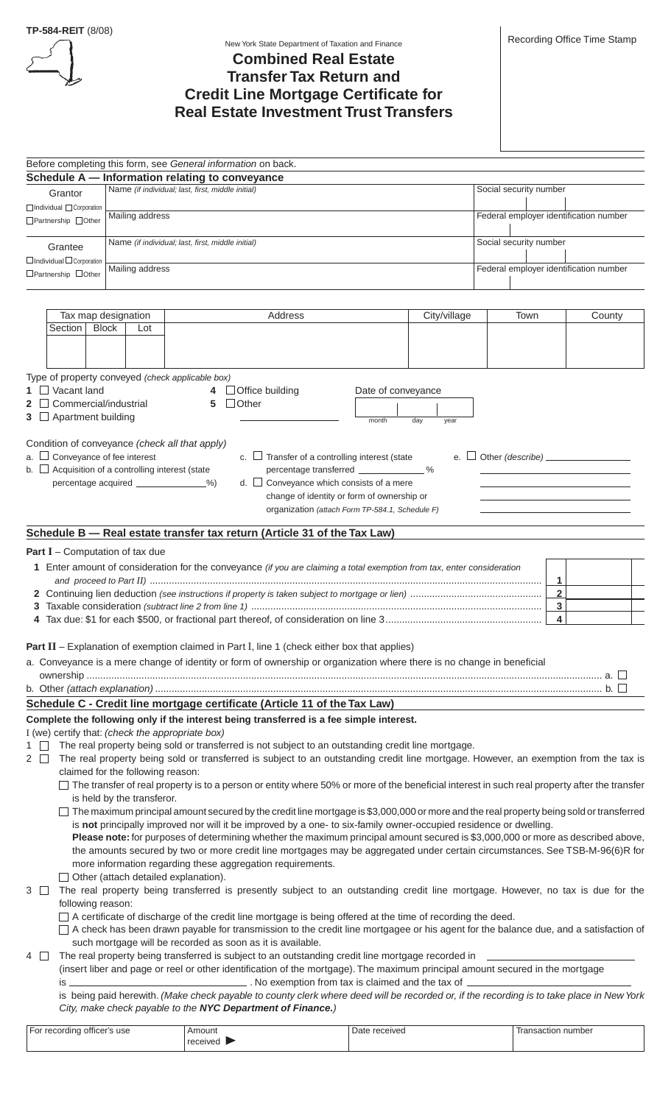

#### New York State Department of Taxation and Finance

# **Combined Real Estate Transfer Tax Return and Credit Line Mortgage Certificate for Real Estate Investment Trust Transfers**

|                                                        |                                             | Before completing this form, see General information on back.                                                                                                                                                                                                    |                    |              |                        |                                        |
|--------------------------------------------------------|---------------------------------------------|------------------------------------------------------------------------------------------------------------------------------------------------------------------------------------------------------------------------------------------------------------------|--------------------|--------------|------------------------|----------------------------------------|
|                                                        |                                             | Schedule A - Information relating to conveyance                                                                                                                                                                                                                  |                    |              |                        |                                        |
| Grantor                                                |                                             | Name (if individual; last, first, middle initial)                                                                                                                                                                                                                |                    |              | Social security number |                                        |
| □Individual □ Corporation                              | Mailing address                             |                                                                                                                                                                                                                                                                  |                    |              |                        | Federal employer identification number |
| □ Partnership □ Other                                  |                                             |                                                                                                                                                                                                                                                                  |                    |              |                        |                                        |
| Grantee                                                |                                             | Name (if individual; last, first, middle initial)                                                                                                                                                                                                                |                    |              | Social security number |                                        |
| $\Box$ Individual $\Box$ Corporation                   |                                             |                                                                                                                                                                                                                                                                  |                    |              |                        |                                        |
| □ Partnership □ Other                                  | Mailing address                             |                                                                                                                                                                                                                                                                  |                    |              |                        | Federal employer identification number |
|                                                        |                                             |                                                                                                                                                                                                                                                                  |                    |              |                        |                                        |
|                                                        |                                             |                                                                                                                                                                                                                                                                  |                    |              |                        |                                        |
| Tax map designation<br>Section   Block                 | Lot                                         | Address                                                                                                                                                                                                                                                          |                    | City/village | Town                   | County                                 |
|                                                        |                                             |                                                                                                                                                                                                                                                                  |                    |              |                        |                                        |
|                                                        |                                             |                                                                                                                                                                                                                                                                  |                    |              |                        |                                        |
| Type of property conveyed (check applicable box)       |                                             |                                                                                                                                                                                                                                                                  |                    |              |                        |                                        |
| $1 \square$ Vacant land                                |                                             | $\Box$ Office building                                                                                                                                                                                                                                           | Date of conveyance |              |                        |                                        |
| $2 \Box$ Commercial/industrial                         |                                             | $\Box$ Other<br>5                                                                                                                                                                                                                                                |                    |              |                        |                                        |
| $3 \Box$ Apartment building                            |                                             |                                                                                                                                                                                                                                                                  | month              | day<br>year  |                        |                                        |
| Condition of conveyance (check all that apply)         |                                             |                                                                                                                                                                                                                                                                  |                    |              |                        |                                        |
| $a.$ $\Box$ Conveyance of fee interest                 |                                             | c. $\Box$ Transfer of a controlling interest (state                                                                                                                                                                                                              |                    | e. $\Box$    |                        |                                        |
| b. $\Box$ Acquisition of a controlling interest (state |                                             | percentage transferred ______________%                                                                                                                                                                                                                           |                    |              |                        |                                        |
|                                                        | percentage acquired _____________%)         | d. $\Box$ Conveyance which consists of a mere                                                                                                                                                                                                                    |                    |              |                        |                                        |
|                                                        |                                             | change of identity or form of ownership or                                                                                                                                                                                                                       |                    |              |                        |                                        |
|                                                        |                                             | organization (attach Form TP-584.1, Schedule F)                                                                                                                                                                                                                  |                    |              |                        |                                        |
|                                                        |                                             | Schedule B - Real estate transfer tax return (Article 31 of the Tax Law)                                                                                                                                                                                         |                    |              |                        |                                        |
| <b>Part I</b> – Computation of tax due                 |                                             |                                                                                                                                                                                                                                                                  |                    |              |                        |                                        |
|                                                        |                                             | 1 Enter amount of consideration for the conveyance (if you are claiming a total exemption from tax, enter consideration                                                                                                                                          |                    |              |                        |                                        |
|                                                        |                                             |                                                                                                                                                                                                                                                                  |                    |              |                        | 1                                      |
|                                                        |                                             |                                                                                                                                                                                                                                                                  |                    |              |                        | $\overline{\mathbf{2}}$                |
|                                                        |                                             |                                                                                                                                                                                                                                                                  |                    |              |                        | 3                                      |
|                                                        |                                             |                                                                                                                                                                                                                                                                  |                    |              |                        | 4                                      |
|                                                        |                                             | <b>Part II</b> - Explanation of exemption claimed in Part I, line 1 (check either box that applies)                                                                                                                                                              |                    |              |                        |                                        |
|                                                        |                                             | a. Conveyance is a mere change of identity or form of ownership or organization where there is no change in beneficial                                                                                                                                           |                    |              |                        |                                        |
|                                                        |                                             |                                                                                                                                                                                                                                                                  |                    |              |                        |                                        |
|                                                        |                                             |                                                                                                                                                                                                                                                                  |                    |              |                        |                                        |
|                                                        |                                             | Schedule C - Credit line mortgage certificate (Article 11 of the Tax Law)                                                                                                                                                                                        |                    |              |                        |                                        |
|                                                        |                                             | Complete the following only if the interest being transferred is a fee simple interest.                                                                                                                                                                          |                    |              |                        |                                        |
| I (we) certify that: (check the appropriate box)       |                                             |                                                                                                                                                                                                                                                                  |                    |              |                        |                                        |
| $1 \mid$<br>$2\Box$                                    |                                             | The real property being sold or transferred is not subject to an outstanding credit line mortgage.<br>The real property being sold or transferred is subject to an outstanding credit line mortgage. However, an exemption from the tax is                       |                    |              |                        |                                        |
|                                                        | claimed for the following reason:           |                                                                                                                                                                                                                                                                  |                    |              |                        |                                        |
|                                                        |                                             | $\Box$ The transfer of real property is to a person or entity where 50% or more of the beneficial interest in such real property after the transfer                                                                                                              |                    |              |                        |                                        |
|                                                        | is held by the transferor.                  |                                                                                                                                                                                                                                                                  |                    |              |                        |                                        |
|                                                        |                                             | The maximum principal amount secured by the credit line mortgage is \$3,000,000 or more and the real property being sold or transferred                                                                                                                          |                    |              |                        |                                        |
|                                                        |                                             | is not principally improved nor will it be improved by a one- to six-family owner-occupied residence or dwelling.                                                                                                                                                |                    |              |                        |                                        |
|                                                        |                                             | Please note: for purposes of determining whether the maximum principal amount secured is \$3,000,000 or more as described above,<br>the amounts secured by two or more credit line mortgages may be aggregated under certain circumstances. See TSB-M-96(6)R for |                    |              |                        |                                        |
|                                                        |                                             | more information regarding these aggregation requirements.                                                                                                                                                                                                       |                    |              |                        |                                        |
|                                                        | $\Box$ Other (attach detailed explanation). |                                                                                                                                                                                                                                                                  |                    |              |                        |                                        |
| 3                                                      |                                             | The real property being transferred is presently subject to an outstanding credit line mortgage. However, no tax is due for the                                                                                                                                  |                    |              |                        |                                        |
| following reason:                                      |                                             |                                                                                                                                                                                                                                                                  |                    |              |                        |                                        |
|                                                        |                                             | □ A certificate of discharge of the credit line mortgage is being offered at the time of recording the deed.                                                                                                                                                     |                    |              |                        |                                        |
|                                                        |                                             | □ A check has been drawn payable for transmission to the credit line mortgagee or his agent for the balance due, and a satisfaction of<br>such mortgage will be recorded as soon as it is available.                                                             |                    |              |                        |                                        |
| $4$ $\Box$                                             |                                             | The real property being transferred is subject to an outstanding credit line mortgage recorded in ___________                                                                                                                                                    |                    |              |                        |                                        |
|                                                        |                                             | (insert liber and page or reel or other identification of the mortgage). The maximum principal amount secured in the mortgage                                                                                                                                    |                    |              |                        |                                        |
|                                                        |                                             |                                                                                                                                                                                                                                                                  |                    |              |                        |                                        |
|                                                        |                                             | is being paid herewith. (Make check payable to county clerk where deed will be recorded or, if the recording is to take place in New York                                                                                                                        |                    |              |                        |                                        |
|                                                        |                                             | City, make check payable to the NYC Department of Finance.)                                                                                                                                                                                                      |                    |              |                        |                                        |
| For recording officer's use                            |                                             | Amount                                                                                                                                                                                                                                                           | Date received      |              |                        | Transaction number                     |
|                                                        |                                             | received                                                                                                                                                                                                                                                         |                    |              |                        |                                        |